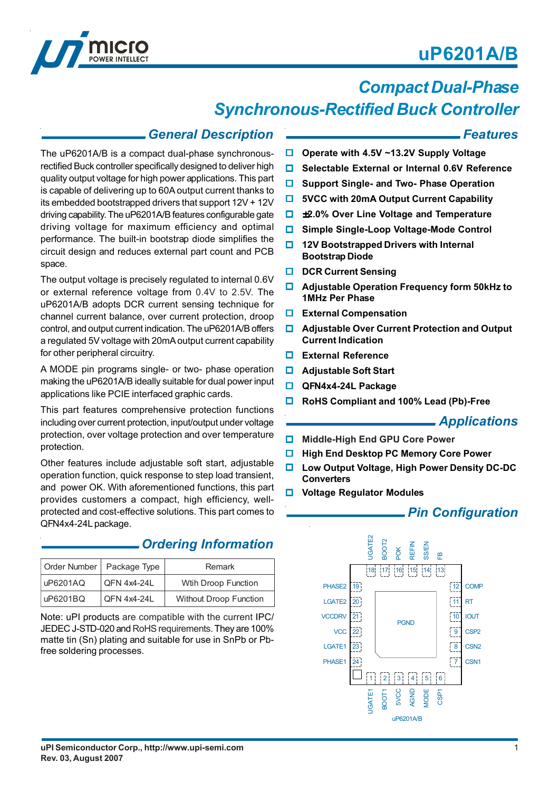# **uP6201A/B**



# *Compact Dual-Phase*

## *Synchronous-Rectified Buck Controller*

### *General Description*

The uP6201A/B is a compact dual-phase synchronousrectified Buck controller specifically designed to deliver high quality output voltage for high power applications. This part is capable of delivering up to 60A output current thanks to its embedded bootstrapped drivers that support 12V + 12V driving capability. The uP6201A/B features configurable gate driving voltage for maximum efficiency and optimal performance. The built-in bootstrap diode simplifies the circuit design and reduces external part count and PCB space.

The output voltage is precisely regulated to internal 0.6V or external reference voltage from 0.4V to 2.5V. The uP6201A/B adopts DCR current sensing technique for channel current balance, over current protection, droop control, and output current indication. The uP6201A/B offers a regulated 5V voltage with 20mA output current capability for other peripheral circuitry.

A MODE pin programs single- or two- phase operation making the uP6201A/B ideally suitable for dual power input applications like PCIE interfaced graphic cards.

This part features comprehensive protection functions including over current protection, input/output under voltage protection, over voltage protection and over temperature protection.

Other features include adjustable soft start, adjustable operation function, quick response to step load transient, and power OK. With aforementioned functions, this part provides customers a compact, high efficiency, wellprotected and cost-effective solutions. This part comes to QFN4x4-24L package.

### *Ordering Information*

|          | Order Number   Package Type | <b>Remark</b>                 |
|----------|-----------------------------|-------------------------------|
| uP6201AQ | QFN 4x4-24L                 | Wtih Droop Function           |
| uP6201BQ | <b>QFN 4x4-24L</b>          | <b>Without Droop Function</b> |

Note: uPI products are compatible with the current IPC/ JEDEC J-STD-020 and RoHS requirements. They are 100% matte tin (Sn) plating and suitable for use in SnPb or Pbfree soldering processes.

### *Features*

- **Operate with 4.5V ~13.2V Supply Voltage**
- **Selectable External or Internal 0.6V Reference**
- **Support Single- and Two- Phase Operation**
- $\Box$  5VCC with 20mA Output Current Capability
- ±**2.0% Over Line Voltage and Temperature**
- **Simple Single-Loop Voltage-Mode Control**
- **12V Bootstrapped Drivers with Internal Bootstrap Diode**
- **DCR Current Sensing**
- **Adjustable Operation Frequency form 50kHz to 1MHz Per Phase**
- **External Compensation**
- **Adjustable Over Current Protection and Output Current Indication**
- **External Reference**
- **Adjustable Soft Start**
- **QFN4x4-24L Package**
- **RoHS Compliant and 100% Lead (Pb)-Free**

### *Applications*

- **Middle-High End GPU Core Power**
- **High End Desktop PC Memory Core Power**
- **Low Output Voltage, High Power Density DC-DC Converters**
- **Voltage Regulator Modules**

### *Pin Configuration*

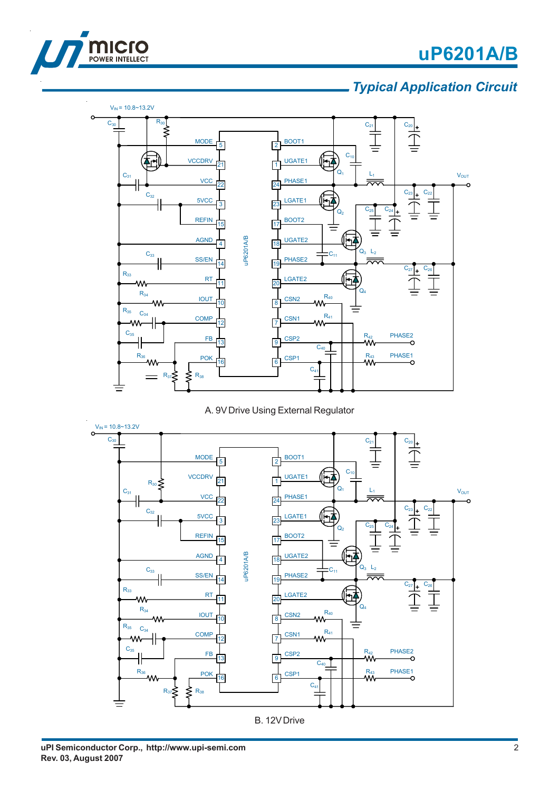



### *Typical Application Circuit*



A. 9V Drive Using External Regulator



B. 12V Drive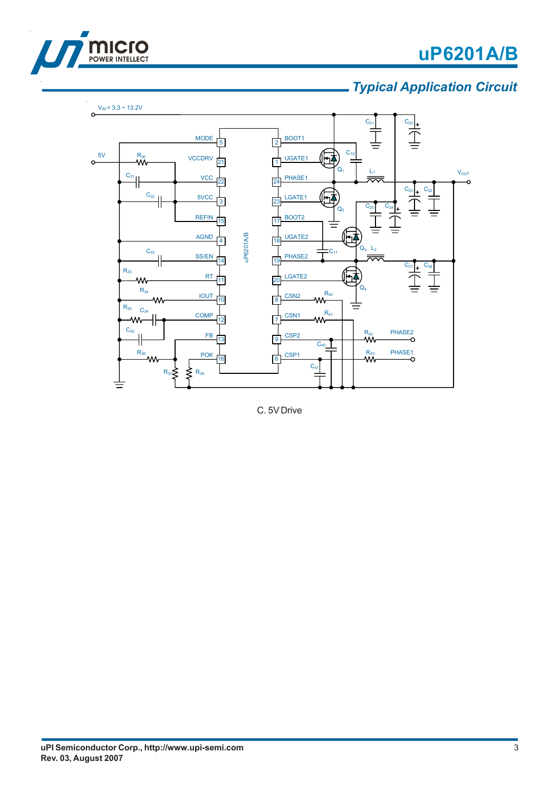



## *Typical Application Circuit*



C. 5V Drive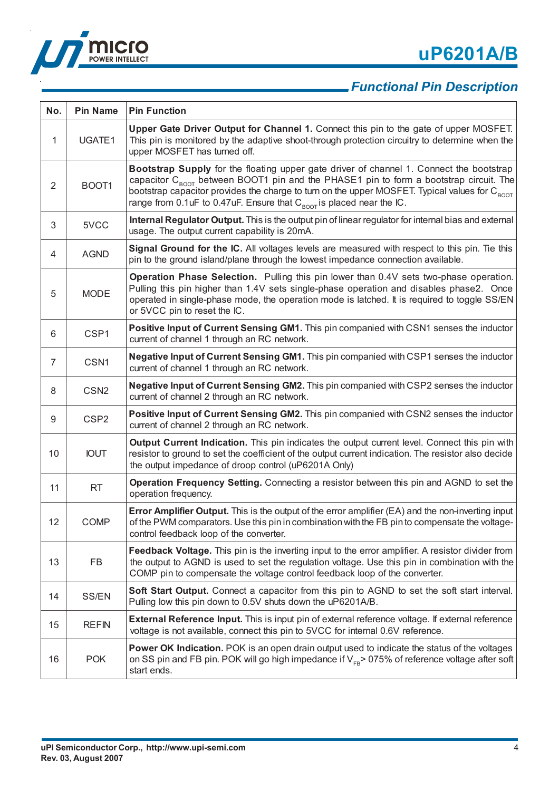



## *Functional Pin Description*

| No. | <b>Pin Name</b>  | <b>Pin Function</b>                                                                                                                                                                                                                                                                                                                                                                         |
|-----|------------------|---------------------------------------------------------------------------------------------------------------------------------------------------------------------------------------------------------------------------------------------------------------------------------------------------------------------------------------------------------------------------------------------|
| 1   | UGATE1           | Upper Gate Driver Output for Channel 1. Connect this pin to the gate of upper MOSFET.<br>This pin is monitored by the adaptive shoot-through protection circuitry to determine when the<br>upper MOSFET has turned off.                                                                                                                                                                     |
| 2   | BOOT1            | Bootstrap Supply for the floating upper gate driver of channel 1. Connect the bootstrap<br>capacitor $C_{\text{ROT}}$ between BOOT1 pin and the PHASE1 pin to form a bootstrap circuit. The<br>bootstrap capacitor provides the charge to turn on the upper MOSFET. Typical values for $C_{\text{ROT}}$<br>range from 0.1uF to 0.47uF. Ensure that $C_{\text{BOOF}}$ is placed near the IC. |
| 3   | 5VCC             | Internal Regulator Output. This is the output pin of linear regulator for internal bias and external<br>usage. The output current capability is 20mA.                                                                                                                                                                                                                                       |
| 4   | <b>AGND</b>      | Signal Ground for the IC. All voltages levels are measured with respect to this pin. Tie this<br>pin to the ground island/plane through the lowest impedance connection available.                                                                                                                                                                                                          |
| 5   | <b>MODE</b>      | Operation Phase Selection. Pulling this pin lower than 0.4V sets two-phase operation.<br>Pulling this pin higher than 1.4V sets single-phase operation and disables phase2. Once<br>operated in single-phase mode, the operation mode is latched. It is required to toggle SS/EN<br>or 5VCC pin to reset the IC.                                                                            |
| 6   | CSP1             | Positive Input of Current Sensing GM1. This pin companied with CSN1 senses the inductor<br>current of channel 1 through an RC network.                                                                                                                                                                                                                                                      |
| 7   | CSN <sub>1</sub> | Negative Input of Current Sensing GM1. This pin companied with CSP1 senses the inductor<br>current of channel 1 through an RC network.                                                                                                                                                                                                                                                      |
| 8   | CSN <sub>2</sub> | Negative Input of Current Sensing GM2. This pin companied with CSP2 senses the inductor<br>current of channel 2 through an RC network.                                                                                                                                                                                                                                                      |
| 9   | CSP <sub>2</sub> | Positive Input of Current Sensing GM2. This pin companied with CSN2 senses the inductor<br>current of channel 2 through an RC network.                                                                                                                                                                                                                                                      |
| 10  | <b>IOUT</b>      | Output Current Indication. This pin indicates the output current level. Connect this pin with<br>resistor to ground to set the coefficient of the output current indication. The resistor also decide<br>the output impedance of droop control (uP6201A Only)                                                                                                                               |
| 11  | <b>RT</b>        | Operation Frequency Setting. Connecting a resistor between this pin and AGND to set the<br>operation frequency.                                                                                                                                                                                                                                                                             |
| 12  | <b>COMP</b>      | Error Amplifier Output. This is the output of the error amplifier (EA) and the non-inverting input<br>of the PWM comparators. Use this pin in combination with the FB pin to compensate the voltage-<br>control feedback loop of the converter.                                                                                                                                             |
| 13  | FB               | Feedback Voltage. This pin is the inverting input to the error amplifier. A resistor divider from<br>the output to AGND is used to set the regulation voltage. Use this pin in combination with the<br>COMP pin to compensate the voltage control feedback loop of the converter.                                                                                                           |
| 14  | SS/EN            | Soft Start Output. Connect a capacitor from this pin to AGND to set the soft start interval.<br>Pulling low this pin down to 0.5V shuts down the uP6201A/B.                                                                                                                                                                                                                                 |
| 15  | <b>REFIN</b>     | <b>External Reference Input.</b> This is input pin of external reference voltage. If external reference<br>voltage is not available, connect this pin to 5VCC for internal 0.6V reference.                                                                                                                                                                                                  |
| 16  | <b>POK</b>       | <b>Power OK Indication.</b> POK is an open drain output used to indicate the status of the voltages<br>on SS pin and FB pin. POK will go high impedance if $V_{FB}$ > 075% of reference voltage after soft<br>start ends.                                                                                                                                                                   |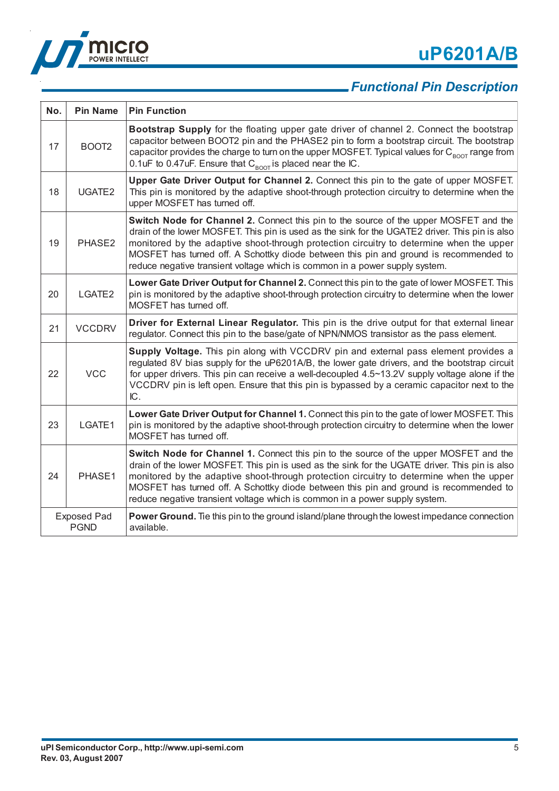



## *Functional Pin Description*

| No.                               | <b>Pin Name</b>   | <b>Pin Function</b>                                                                                                                                                                                                                                                                                                                                                                                                                                          |
|-----------------------------------|-------------------|--------------------------------------------------------------------------------------------------------------------------------------------------------------------------------------------------------------------------------------------------------------------------------------------------------------------------------------------------------------------------------------------------------------------------------------------------------------|
| 17                                | BOOT <sub>2</sub> | Bootstrap Supply for the floating upper gate driver of channel 2. Connect the bootstrap<br>capacitor between BOOT2 pin and the PHASE2 pin to form a bootstrap circuit. The bootstrap<br>capacitor provides the charge to turn on the upper MOSFET. Typical values for $C_{\text{non}}$ range from<br>0.1uF to 0.47uF. Ensure that $C_{\text{ROT}}$ is placed near the IC.                                                                                    |
| 18                                | UGATE2            | Upper Gate Driver Output for Channel 2. Connect this pin to the gate of upper MOSFET.<br>This pin is monitored by the adaptive shoot-through protection circuitry to determine when the<br>upper MOSFET has turned off.                                                                                                                                                                                                                                      |
| 19                                | PHASE2            | Switch Node for Channel 2. Connect this pin to the source of the upper MOSFET and the<br>drain of the lower MOSFET. This pin is used as the sink for the UGATE2 driver. This pin is also<br>monitored by the adaptive shoot-through protection circuitry to determine when the upper<br>MOSFET has turned off. A Schottky diode between this pin and ground is recommended to<br>reduce negative transient voltage which is common in a power supply system. |
| 20                                | LGATE2            | Lower Gate Driver Output for Channel 2. Connect this pin to the gate of lower MOSFET. This<br>pin is monitored by the adaptive shoot-through protection circuitry to determine when the lower<br>MOSFET has turned off.                                                                                                                                                                                                                                      |
| 21                                | <b>VCCDRV</b>     | Driver for External Linear Regulator. This pin is the drive output for that external linear<br>regulator. Connect this pin to the base/gate of NPN/NMOS transistor as the pass element.                                                                                                                                                                                                                                                                      |
| 22                                | <b>VCC</b>        | Supply Voltage. This pin along with VCCDRV pin and external pass element provides a<br>regulated 8V bias supply for the uP6201A/B, the lower gate drivers, and the bootstrap circuit<br>for upper drivers. This pin can receive a well-decoupled 4.5~13.2V supply voltage alone if the<br>VCCDRV pin is left open. Ensure that this pin is bypassed by a ceramic capacitor next to the<br>IC.                                                                |
| 23                                | LGATE1            | Lower Gate Driver Output for Channel 1. Connect this pin to the gate of lower MOSFET. This<br>pin is monitored by the adaptive shoot-through protection circuitry to determine when the lower<br>MOSFET has turned off.                                                                                                                                                                                                                                      |
| 24                                | PHASE1            | Switch Node for Channel 1. Connect this pin to the source of the upper MOSFET and the<br>drain of the lower MOSFET. This pin is used as the sink for the UGATE driver. This pin is also<br>monitored by the adaptive shoot-through protection circuitry to determine when the upper<br>MOSFET has turned off. A Schottky diode between this pin and ground is recommended to<br>reduce negative transient voltage which is common in a power supply system.  |
| <b>Exposed Pad</b><br><b>PGND</b> |                   | <b>Power Ground.</b> Tie this pin to the ground island/plane through the lowest impedance connection<br>available.                                                                                                                                                                                                                                                                                                                                           |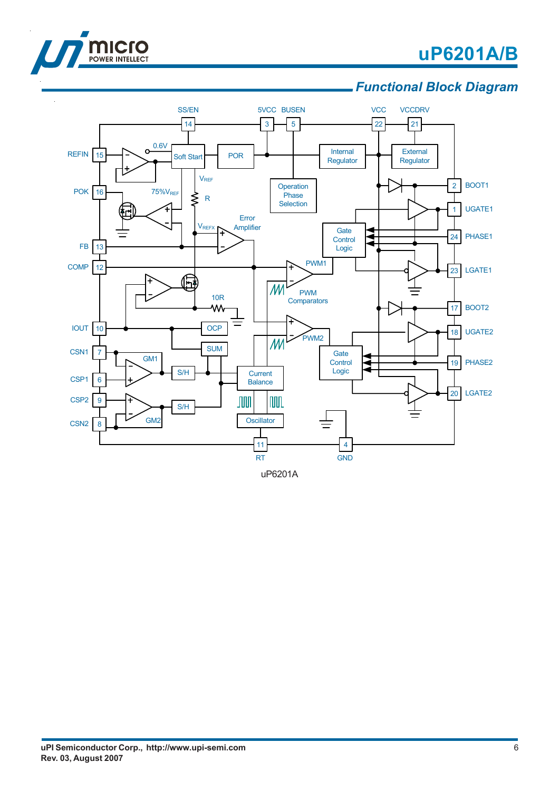

 $\ddot{\phantom{a}}$ 

# **uP6201A/B**

### *Functional Block Diagram*



uP6201A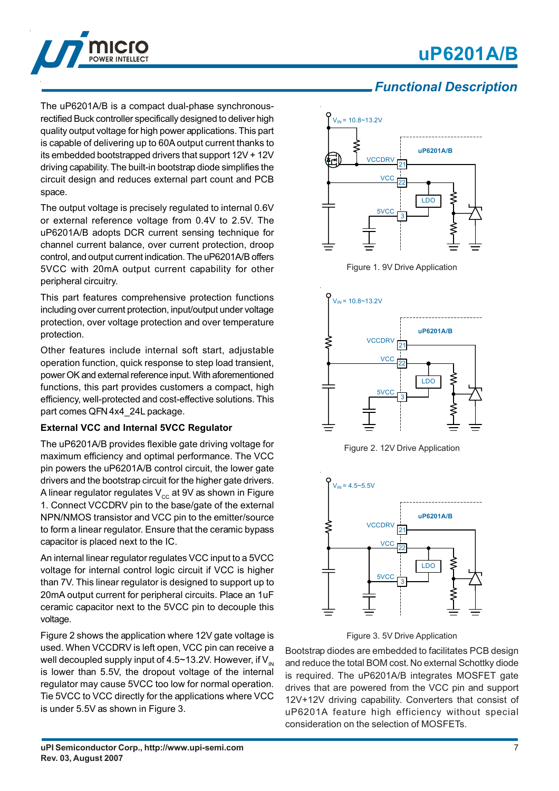# **uP6201A/B**



The uP6201A/B is a compact dual-phase synchronousrectified Buck controller specifically designed to deliver high quality output voltage for high power applications. This part is capable of delivering up to 60A output current thanks to its embedded bootstrapped drivers that support 12V + 12V driving capability. The built-in bootstrap diode simplifies the circuit design and reduces external part count and PCB space.

The output voltage is precisely regulated to internal 0.6V or external reference voltage from 0.4V to 2.5V. The uP6201A/B adopts DCR current sensing technique for channel current balance, over current protection, droop control, and output current indication. The uP6201A/B offers 5VCC with 20mA output current capability for other peripheral circuitry.

This part features comprehensive protection functions including over current protection, input/output under voltage protection, over voltage protection and over temperature protection.

Other features include internal soft start, adjustable operation function, quick response to step load transient, power OK and external reference input. With aforementioned functions, this part provides customers a compact, high efficiency, well-protected and cost-effective solutions. This part comes QFN 4x4\_24L package.

#### **External VCC and Internal 5VCC Regulator**

The uP6201A/B provides flexible gate driving voltage for maximum efficiency and optimal performance. The VCC pin powers the uP6201A/B control circuit, the lower gate drivers and the bootstrap circuit for the higher gate drivers. A linear regulator regulates  $V_{cc}$  at 9V as shown in Figure 1. Connect VCCDRV pin to the base/gate of the external NPN/NMOS transistor and VCC pin to the emitter/source to form a linear regulator. Ensure that the ceramic bypass capacitor is placed next to the IC.

An internal linear regulator regulates VCC input to a 5VCC voltage for internal control logic circuit if VCC is higher than 7V. This linear regulator is designed to support up to 20mA output current for peripheral circuits. Place an 1uF ceramic capacitor next to the 5VCC pin to decouple this voltage.

Figure 2 shows the application where 12V gate voltage is used. When VCCDRV is left open, VCC pin can receive a well decoupled supply input of 4.5~13.2V. However, if  $V_{\text{IN}}$ is lower than 5.5V, the dropout voltage of the internal regulator may cause 5VCC too low for normal operation. Tie 5VCC to VCC directly for the applications where VCC is under 5.5V as shown in Figure 3.

### *Functional Description*



Figure 1. 9V Drive Application



Figure 2. 12V Drive Application





Bootstrap diodes are embedded to facilitates PCB design and reduce the total BOM cost. No external Schottky diode is required. The uP6201A/B integrates MOSFET gate drives that are powered from the VCC pin and support 12V+12V driving capability. Converters that consist of uP6201A feature high efficiency without special consideration on the selection of MOSFETs.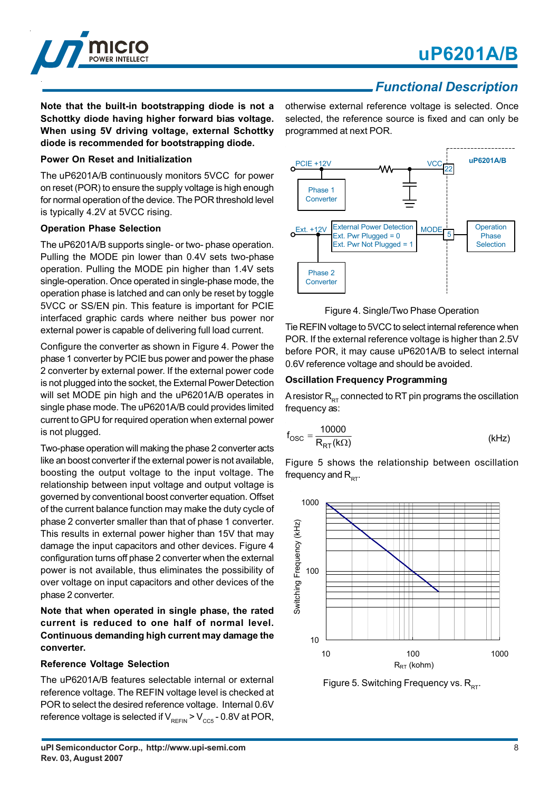

### *Functional Description*

**Note that the built-in bootstrapping diode is not a Schottky diode having higher forward bias voltage. When using 5V driving voltage, external Schottky diode is recommended for bootstrapping diode.**

#### **Power On Reset and Initialization**

The uP6201A/B continuously monitors 5VCC for power on reset (POR) to ensure the supply voltage is high enough for normal operation of the device. The POR threshold level is typically 4.2V at 5VCC rising.

#### **Operation Phase Selection**

The uP6201A/B supports single- or two- phase operation. Pulling the MODE pin lower than 0.4V sets two-phase operation. Pulling the MODE pin higher than 1.4V sets single-operation. Once operated in single-phase mode, the operation phase is latched and can only be reset by toggle 5VCC or SS/EN pin. This feature is important for PCIE interfaced graphic cards where neither bus power nor external power is capable of delivering full load current.

Configure the converter as shown in Figure 4. Power the phase 1 converter by PCIE bus power and power the phase 2 converter by external power. If the external power code is not plugged into the socket, the External Power Detection will set MODE pin high and the uP6201A/B operates in single phase mode. The uP6201A/B could provides limited current to GPU for required operation when external power is not plugged.

Two-phase operation will making the phase 2 converter acts like an boost converter if the external power is not available, boosting the output voltage to the input voltage. The relationship between input voltage and output voltage is governed by conventional boost converter equation. Offset of the current balance function may make the duty cycle of phase 2 converter smaller than that of phase 1 converter. This results in external power higher than 15V that may damage the input capacitors and other devices. Figure 4 configuration turns off phase 2 converter when the external power is not available, thus eliminates the possibility of over voltage on input capacitors and other devices of the phase 2 converter.

**Note that when operated in single phase, the rated current is reduced to one half of normal level. Continuous demanding high current may damage the converter.**

#### **Reference Voltage Selection**

The uP6201A/B features selectable internal or external reference voltage. The REFIN voltage level is checked at POR to select the desired reference voltage. Internal 0.6V reference voltage is selected if  $V_{RFFIN}$  >  $V_{CC5}$  - 0.8V at POR,

otherwise external reference voltage is selected. Once selected, the reference source is fixed and can only be programmed at next POR.



Figure 4. Single/Two Phase Operation

Tie REFIN voltage to 5VCC to select internal reference when POR. If the external reference voltage is higher than 2.5V before POR, it may cause uP6201A/B to select internal 0.6V reference voltage and should be avoided.

#### **Oscillation Frequency Programming**

A resistor  $R_{RT}$  connected to RT pin programs the oscillation frequency as:

$$
f_{\rm OSC} = \frac{10000}{R_{\rm RT}(k\Omega)}\tag{kHz}
$$

Figure 5 shows the relationship between oscillation frequency and  $R_{\text{DT}}$ .



Figure 5. Switching Frequency vs.  $R_{DT}$ .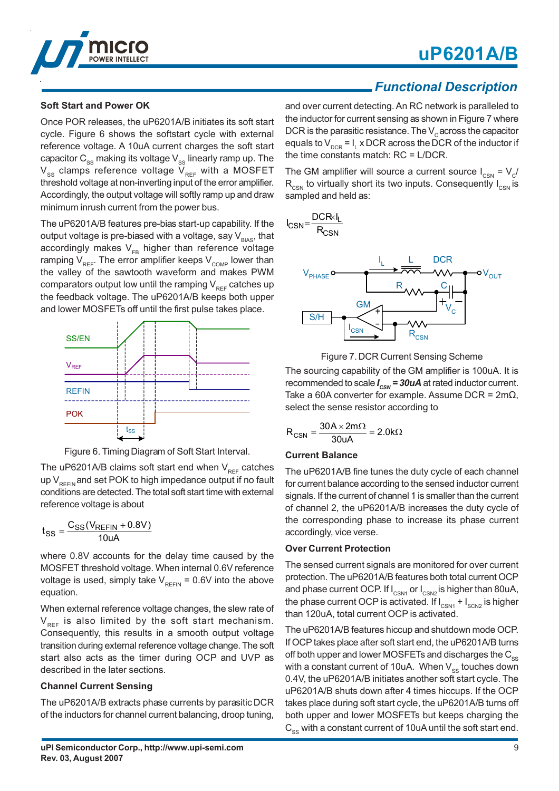# **uP6201A/B**



#### **Soft Start and Power OK**

Once POR releases, the uP6201A/B initiates its soft start cycle. Figure 6 shows the softstart cycle with external reference voltage. A 10uA current charges the soft start capacitor  $C_{ss}$  making its voltage  $V_{ss}$  linearly ramp up. The  $V_{ss}$  clamps reference voltage  $V_{RF}$  with a MOSFET threshold voltage at non-inverting input of the error amplifier. Accordingly, the output voltage will softly ramp up and draw minimum inrush current from the power bus.

The uP6201A/B features pre-bias start-up capability. If the output voltage is pre-biased with a voltage, say  $V_{BIAS}$ , that accordingly makes  $V_{FB}$  higher than reference voltage ramping  $V_{REF}$ . The error amplifier keeps  $V_{COMP}$  lower than the valley of the sawtooth waveform and makes PWM comparators output low until the ramping  $V_{_{REF}}$  catches up the feedback voltage. The uP6201A/B keeps both upper and lower MOSFETs off until the first pulse takes place.



Figure 6. Timing Diagram of Soft Start Interval.

The uP6201A/B claims soft start end when  $V_{REF}$  catches up  $V_{\text{per}}$  and set POK to high impedance output if no fault conditions are detected. The total soft start time with external reference voltage is about

$$
t_{SS} = \frac{C_{SS}(V_{REFIN} + 0.8V)}{10uA}
$$

where 0.8V accounts for the delay time caused by the MOSFET threshold voltage. When internal 0.6V reference voltage is used, simply take  $V_{\text{RFEIN}}$  = 0.6V into the above equation.

When external reference voltage changes, the slew rate of  $V_{\text{per}}$  is also limited by the soft start mechanism. Consequently, this results in a smooth output voltage transition during external reference voltage change. The soft start also acts as the timer during OCP and UVP as described in the later sections.

#### **Channel Current Sensing**

The uP6201A/B extracts phase currents by parasitic DCR of the inductors for channel current balancing, droop tuning,

### *Functional Description*

and over current detecting. An RC network is paralleled to the inductor for current sensing as shown in Figure 7 where DCR is the parasitic resistance. The  $V_c$  across the capacitor equals to V $_{\sf DCR}$  = I $_{\sf L}$  x DCR across the DCR of the inductor if the time constants match: RC = L/DCR.

The GM amplifier will source a current source  $I_{CSN} = V_C$  $R_{\text{c,SM}}$  to virtually short its two inputs. Consequently  $I_{\text{CSN}}$  is sampled and held as:



Figure 7. DCR Current Sensing Scheme The sourcing capability of the GM amplifier is 100uA. It is recommended to scale *I<sub>csN</sub>* = 30uA at rated inductor current. Take a 60A converter for example. Assume DCR =  $2m\Omega$ , select the sense resistor according to

$$
R_{CSN}=\frac{30A\times 2m\Omega}{30uA}=2.0k\Omega
$$

#### **Current Balance**

The uP6201A/B fine tunes the duty cycle of each channel for current balance according to the sensed inductor current signals. If the current of channel 1 is smaller than the current of channel 2, the uP6201A/B increases the duty cycle of the corresponding phase to increase its phase current accordingly, vice verse.

#### **Over Current Protection**

The sensed current signals are monitored for over current protection. The uP6201A/B features both total current OCP and phase current OCP. If  $I_{CSM1}$  or  $I_{CSM2}$  is higher than 80uA, the phase current OCP is activated. If  $I_{CSM1} + I_{SCM2}$  is higher than 120uA, total current OCP is activated.

The uP6201A/B features hiccup and shutdown mode OCP. If OCP takes place after soft start end, the uP6201A/B turns off both upper and lower MOSFETs and discharges the  $C_{\rm sc}$ with a constant current of 10uA. When  $V_{ss}$  touches down 0.4V, the uP6201A/B initiates another soft start cycle. The uP6201A/B shuts down after 4 times hiccups. If the OCP takes place during soft start cycle, the uP6201A/B turns off both upper and lower MOSFETs but keeps charging the  $C_{\rm sc}$  with a constant current of 10uA until the soft start end.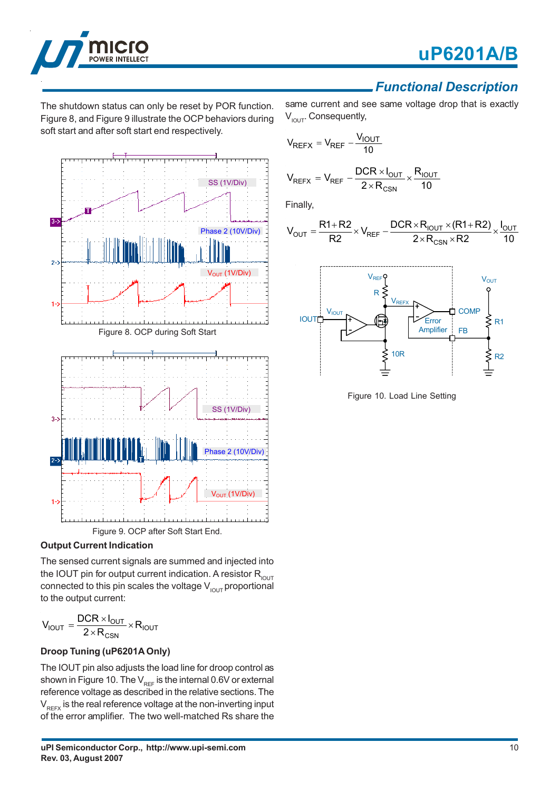



### *Functional Description*

The shutdown status can only be reset by POR function. Figure 8, and Figure 9 illustrate the OCP behaviors during soft start and after soft start end respectively.



### **Output Current Indication**

The sensed current signals are summed and injected into the IOUT pin for output current indication. A resistor  $R_{\text{IOUT}}$ connected to this pin scales the voltage  $V_{I\text{OUT}}$  proportional to the output current:

$$
V_{IOUT} = \frac{DCR \times I_{OUT}}{2 \times R_{CSN}} \times R_{IOUT}
$$

### **Droop Tuning (uP6201A Only)**

The IOUT pin also adjusts the load line for droop control as shown in Figure 10. The  $V_{REF}$  is the internal 0.6V or external reference voltage as described in the relative sections. The  $V<sub>REFX</sub>$  is the real reference voltage at the non-inverting input of the error amplifier. The two well-matched Rs share the

same current and see same voltage drop that is exactly  $V_{I\text{OUT}}$ . Consequently,

$$
V_{REFX} = V_{REF} - \frac{V_{IOUT}}{10}
$$

$$
V_{REFX} = V_{REF} - \frac{DCR \times I_{OUT}}{2 \times R_{CSN}} \times \frac{R_{IOUT}}{10}
$$

Finally,

$$
V_{OUT}=\frac{R1+R2}{R2}\times V_{REF}-\frac{DCR\times R_{IOUT}\times (R1+R2)}{2\times R_{CSN}\times R2}\times\frac{I_{OUT}}{10}
$$



Figure 10. Load Line Setting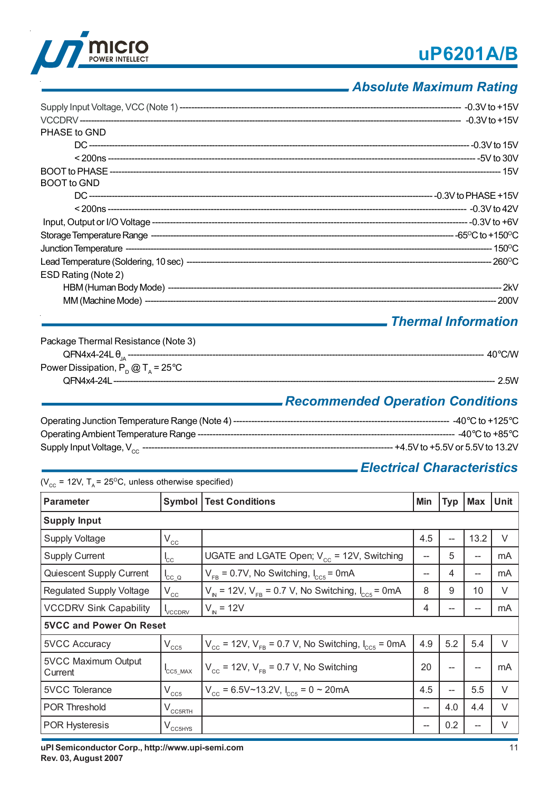



### *Absolute Maximum Rating*

| PHASE to GND        |  |
|---------------------|--|
|                     |  |
|                     |  |
|                     |  |
| <b>BOOT</b> to GND  |  |
|                     |  |
|                     |  |
|                     |  |
|                     |  |
|                     |  |
|                     |  |
| ESD Rating (Note 2) |  |
|                     |  |
|                     |  |

### *Thermal Information*

| Package Thermal Resistance (Note 3)          |                  |
|----------------------------------------------|------------------|
|                                              | $40^{\circ}$ CMV |
| Power Dissipation, $P_p @ T_A = 25^{\circ}C$ |                  |
|                                              | 2.5W             |

### *Recommended Operation Conditions*

| Operating Junction Temperature Range (Note 4) ----- | -40°C to +125°C                    |
|-----------------------------------------------------|------------------------------------|
|                                                     | ----- -40°C to +85°C.              |
|                                                     | -- +4.5V to +5.5V or 5.5V to 13.2V |

### *Electrical Characteristics*

( $V_{\text{cc}}$  = 12V, T<sub>A</sub> = 25<sup>o</sup>C, unless otherwise specified)

| <b>Parameter</b>               | Symbol                     | <b>Test Conditions</b>                                                               | Min               | <b>Typ</b> | <b>Max</b> | <b>Unit</b> |  |
|--------------------------------|----------------------------|--------------------------------------------------------------------------------------|-------------------|------------|------------|-------------|--|
| <b>Supply Input</b>            |                            |                                                                                      |                   |            |            |             |  |
| <b>Supply Voltage</b>          | $V_{cc}$                   |                                                                                      | 4.5               | --         | 13.2       | $\vee$      |  |
| <b>Supply Current</b>          | $I_{\rm CC}$               | UGATE and LGATE Open; $V_{cc}$ = 12V, Switching                                      | --                | 5          | --         | mA          |  |
| Quiescent Supply Current       | ${}^{\mathsf{I}}$ CC_Q     | $V_{FB}$ = 0.7V, No Switching, $I_{CC5}$ = 0mA                                       | --                | 4          | --         | mA          |  |
| Regulated Supply Voltage       | $\mathsf{V}_{\mathsf{cc}}$ | $V_{N}$ = 12V, $V_{FB}$ = 0.7 V, No Switching, $I_{CC5}$ = 0mA                       | 8                 | 9          | 10         | $\vee$      |  |
| <b>VCCDRV Sink Capability</b>  | <b>VCCDRV</b>              | $V_{N} = 12V$                                                                        | 4                 | --         | --         | mA          |  |
| <b>5VCC and Power On Reset</b> |                            |                                                                                      |                   |            |            |             |  |
| <b>5VCC Accuracy</b>           | $V_{CC5}$                  | $V_{\text{cc}}$ = 12V, $V_{\text{FB}}$ = 0.7 V, No Switching, $I_{\text{ccs}}$ = 0mA | 4.9               | 5.2        | 5.4        | $\vee$      |  |
| 5VCC Maximum Output<br>Current | $ICC5$ _MAX                | $V_{\text{cc}}$ = 12V, $V_{\text{FR}}$ = 0.7 V, No Switching                         | 20                | --         | --         | mA          |  |
| <b>5VCC Tolerance</b>          | $V_{CC5}$                  | $V_{cc}$ = 6.5V~13.2V, $I_{cc5}$ = 0 ~ 20mA                                          | 4.5               | --         | 5.5        | $\vee$      |  |
| <b>POR Threshold</b>           | $V_{CCSRTH}$               |                                                                                      | $\hspace{0.05cm}$ | 4.0        | 4.4        | $\vee$      |  |
| POR Hysteresis                 | $V_{\text{CC5HYS}}$        |                                                                                      | --                | 0.2        | --         | V           |  |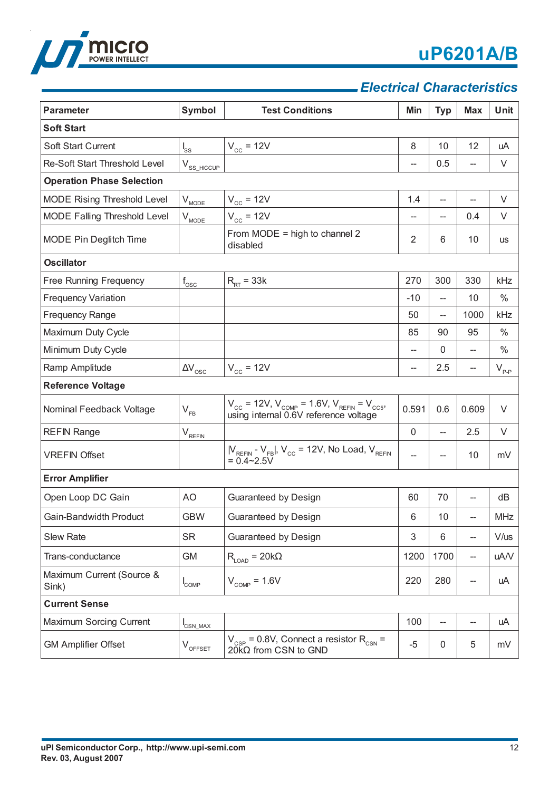

### *Electrical Characteristics*

| <b>Parameter</b>                   | <b>Symbol</b>                            | <b>Test Conditions</b>                                                                                                            | Min            | <b>Typ</b>   | <b>Max</b>                         | <b>Unit</b>   |
|------------------------------------|------------------------------------------|-----------------------------------------------------------------------------------------------------------------------------------|----------------|--------------|------------------------------------|---------------|
| <b>Soft Start</b>                  |                                          |                                                                                                                                   |                |              |                                    |               |
| Soft Start Current                 | $I_{SS}$                                 | $V_{cc}$ = 12V                                                                                                                    | 8              | 10           | 12                                 | uA            |
| Re-Soft Start Threshold Level      | $V_{SS\_HICCUP}$                         |                                                                                                                                   | --             | 0.5          | --                                 | V             |
| <b>Operation Phase Selection</b>   |                                          |                                                                                                                                   |                |              |                                    |               |
| MODE Rising Threshold Level        | $V_{MODE}$                               | $V_{cc}$ = 12V                                                                                                                    | 1.4            |              | $\hspace{0.05cm} -\hspace{0.05cm}$ | V             |
| MODE Falling Threshold Level       | $\mathsf{V}_{\underbar{\text{MODE}}}$    | $V_{cc}$ = 12V                                                                                                                    |                |              | 0.4                                | $\vee$        |
| MODE Pin Deglitch Time             |                                          | From MODE = high to channel $2$<br>disabled                                                                                       | $\overline{2}$ | 6            | 10                                 | <b>US</b>     |
| <b>Oscillator</b>                  |                                          |                                                                                                                                   |                |              |                                    |               |
| Free Running Frequency             | $f_{\rm osc}$                            | $R_{RT}$ = 33k                                                                                                                    | 270            | 300          | 330                                | kHz           |
| <b>Frequency Variation</b>         |                                          |                                                                                                                                   | $-10$          |              | 10                                 | $\frac{0}{0}$ |
| <b>Frequency Range</b>             |                                          |                                                                                                                                   | 50             | --           | 1000                               | kHz           |
| Maximum Duty Cycle                 |                                          |                                                                                                                                   | 85             | 90           | 95                                 | $\%$          |
| Minimum Duty Cycle                 |                                          |                                                                                                                                   | --             | $\mathbf{0}$ | --                                 | $\%$          |
| Ramp Amplitude                     | $\Delta\rm{V}_{\rm{osc}}$                | $V_{cc}$ = 12V                                                                                                                    | --             | 2.5          | --                                 | $V_{p,p}$     |
| <b>Reference Voltage</b>           |                                          |                                                                                                                                   |                |              |                                    |               |
| Nominal Feedback Voltage           | $V_{FB}$                                 | $V_{\text{cc}}$ = 12V, $V_{\text{COMP}}$ = 1.6V, $V_{\text{REFIN}}$ = $V_{\text{CC5}}$ ,<br>using internal 0.6V reference voltage | 0.591          | 0.6          | 0.609                              | V             |
| <b>REFIN Range</b>                 | $\mathsf{V}_{\underbar{\mathtt{REFIN}}}$ |                                                                                                                                   | $\mathsf 0$    |              | 2.5                                | V             |
| <b>VREFIN Offset</b>               |                                          | $ V_{REFIN} - V_{FB} $ , $V_{CC} = 12V$ , No Load, $V_{REFIN} = 0.4 \sim 2.5V$                                                    | --             |              | 10                                 | mV            |
| <b>Error Amplifier</b>             |                                          |                                                                                                                                   |                |              |                                    |               |
| Open Loop DC Gain                  | AO                                       | Guaranteed by Design                                                                                                              | 60             | 70           |                                    | dB            |
| Gain-Bandwidth Product             | <b>GBW</b>                               | Guaranteed by Design                                                                                                              | 6              | 10           |                                    | MHz           |
| <b>Slew Rate</b>                   | <b>SR</b>                                | Guaranteed by Design                                                                                                              | 3              | 6            | $-$                                | $V/$ us       |
| Trans-conductance                  | GM                                       | $\mathsf{R}_{\textsf{\tiny{LOAD}}} = 20 \mathsf{k} \Omega$                                                                        | 1200           | 1700         | $\hspace{0.05cm} -\hspace{0.05cm}$ | uA/V          |
| Maximum Current (Source &<br>Sink) | $I_{\text{COMP}}$                        | $V_{\text{COMP}} = 1.6V$                                                                                                          | 220            | 280          | --                                 | uA            |
| <b>Current Sense</b>               |                                          |                                                                                                                                   |                |              |                                    |               |
| Maximum Sorcing Current            | $I_{CSN\_MAX}$                           |                                                                                                                                   | 100            |              | --                                 | uA            |
| <b>GM Amplifier Offset</b>         | $\rm V_{\rm OFFSET}$                     | $V_{CSP}$ = 0.8V, Connect a resistor R <sub>CSN</sub> =<br>$20KΩ$ from CSN to GND                                                 | $-5$           | $\pmb{0}$    | 5                                  | mV            |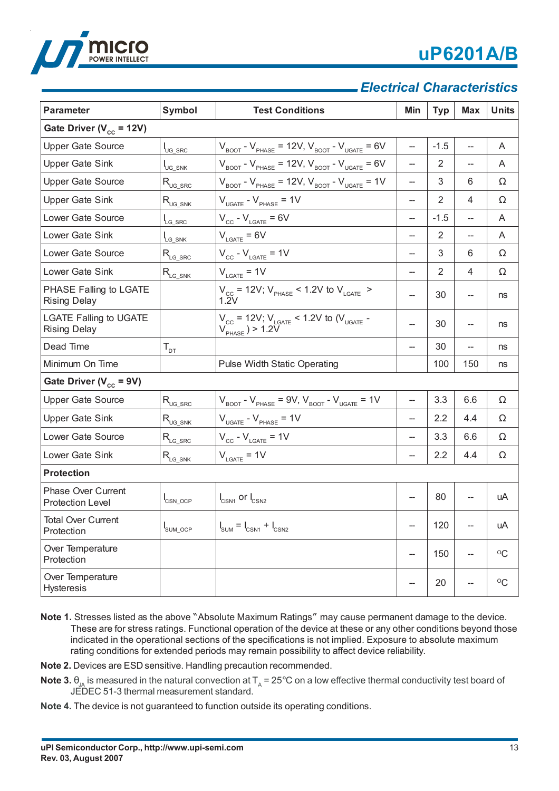

## *Electrical Characteristics*

| <b>Parameter</b>                                     | Symbol                           | <b>Test Conditions</b>                                                                                    | Min | <b>Typ</b>     | <b>Max</b>               | <b>Units</b>         |
|------------------------------------------------------|----------------------------------|-----------------------------------------------------------------------------------------------------------|-----|----------------|--------------------------|----------------------|
| Gate Driver ( $V_{cc}$ = 12V)                        |                                  |                                                                                                           |     |                |                          |                      |
| <b>Upper Gate Source</b>                             | $I_{\text{UG} \text{SRC}}$       | $V_{\text{foot}}$ - $V_{\text{PHASE}}$ = 12V, $V_{\text{foot}}$ - $V_{\text{ugate}}$ = 6V                 | ш., | $-1.5$         | --                       | A                    |
| <b>Upper Gate Sink</b>                               | $I_{\cup G\_SNK}$                | $V_{\text{BOOT}}$ - $V_{\text{PHASE}}$ = 12V, $V_{\text{BOOT}}$ - $V_{\text{UGATE}}$ = 6V                 | --  | $\overline{2}$ |                          | A                    |
| <b>Upper Gate Source</b>                             | $R_{\text{UG\_SRC}}$             | $V_{\text{BOOT}}$ - $V_{\text{PHASE}}$ = 12V, $V_{\text{BOOT}}$ - $V_{\text{UGATE}}$ = 1V                 | $-$ | 3              | 6                        | $\Omega$             |
| <b>Upper Gate Sink</b>                               | $R_{\text{UG\_SNK}}$             | $V_{UGATE} - V_{PHASE} = 1V$                                                                              | --  | $\overline{2}$ | 4                        | $\Omega$             |
| Lower Gate Source                                    | $I_{LG\_SRC}$                    | $V_{\text{cc}}$ - $V_{\text{LGATE}}$ = 6V                                                                 | --  | $-1.5$         | $\overline{\phantom{a}}$ | A                    |
| Lower Gate Sink                                      | $L_{G\_SNK}$                     | $V_{\text{LGATE}} = 6V$                                                                                   | --  | $\overline{2}$ | --                       | A                    |
| Lower Gate Source                                    | $R_{LG\_SRC}$                    | $V_{cc}$ - $V_{LGATE}$ = 1V                                                                               | $-$ | 3              | 6                        | $\Omega$             |
| Lower Gate Sink                                      | $R_{LG\_SNK}$                    | $V_{\text{LGATE}} = 1V$                                                                                   | --  | 2              | $\overline{4}$           | $\Omega$             |
| PHASE Falling to LGATE<br><b>Rising Delay</b>        |                                  | $V_{\text{cc}}$ = 12V; $V_{\text{PHASE}}$ < 1.2V to $V_{\text{LGATE}}$ ><br>1.2V                          | --  | 30             |                          | ns                   |
| <b>LGATE Falling to UGATE</b><br><b>Rising Delay</b> |                                  | $V_{\text{cc}}$ = 12V; $V_{\text{LGATE}}$ < 1.2V to ( $V_{\text{UGATE}}$ -<br>$V_{\text{PHASE}}$ ) > 1.2V | --  | 30             | --                       | ns                   |
| Dead Time                                            | $\mathsf{T}_{\texttt{\tiny DT}}$ |                                                                                                           | --  | 30             |                          | ns                   |
| Minimum On Time                                      |                                  | Pulse Width Static Operating                                                                              |     | 100            | 150                      | ns                   |
| Gate Driver ( $V_{cc}$ = 9V)                         |                                  |                                                                                                           |     |                |                          |                      |
| <b>Upper Gate Source</b>                             | $R_{\text{UG\_SRC}}$             | $V_{\text{foot}}$ - $V_{\text{PHASE}}$ = 9V, $V_{\text{foot}}$ - $V_{\text{ugate}}$ = 1V                  | --  | 3.3            | 6.6                      | $\Omega$             |
| <b>Upper Gate Sink</b>                               | $R_{\text{UG\_SNK}}$             | $V_{UGATE} - V_{PHASE} = 1V$                                                                              | --  | 2.2            | 4.4                      | $\Omega$             |
| Lower Gate Source                                    | $R_{LG\_SRC}$                    | $V_{\text{cc}}$ - $V_{\text{LGATE}}$ = 1V                                                                 | --  | 3.3            | 6.6                      | Ω                    |
| Lower Gate Sink                                      | $R_{LG\_S\overline{NK}}$         | $V_{\text{LGATE}} = 1V$                                                                                   | --  | 2.2            | 4.4                      | $\Omega$             |
| <b>Protection</b>                                    |                                  |                                                                                                           |     |                |                          |                      |
| <b>Phase Over Current</b><br><b>Protection Level</b> | $I_{\text{CNN\_OCP}}$            | $I_{CSN1}$ or $I_{CSN2}$                                                                                  |     | 80             |                          | uA                   |
| <b>Total Over Current</b><br>Protection              | SUM_OCP                          | $I_{\text{SUM}} = I_{\text{CSN1}} + I_{\text{CSN2}}$                                                      | --  | 120            | --                       | uA                   |
| Over Temperature<br>Protection                       |                                  |                                                                                                           | --  | 150            |                          | $\rm ^{O}C$          |
| Over Temperature<br><b>Hysteresis</b>                |                                  |                                                                                                           | --  | 20             |                          | $^{\circ}\mathrm{C}$ |

**Note 1.** Stresses listed as the above "Absolute Maximum Ratings" may cause permanent damage to the device. These are for stress ratings. Functional operation of the device at these or any other conditions beyond those indicated in the operational sections of the specifications is not implied. Exposure to absolute maximum rating conditions for extended periods may remain possibility to affect device reliability.

**Note 2.** Devices are ESD sensitive. Handling precaution recommended.

- **Note 3.**  $\theta_{JA}$  is measured in the natural convection at  $T_A = 25^{\circ}$ C on a low effective thermal conductivity test board of JEDEC 51-3 thermal measurement standard.
- **Note 4.** The device is not guaranteed to function outside its operating conditions.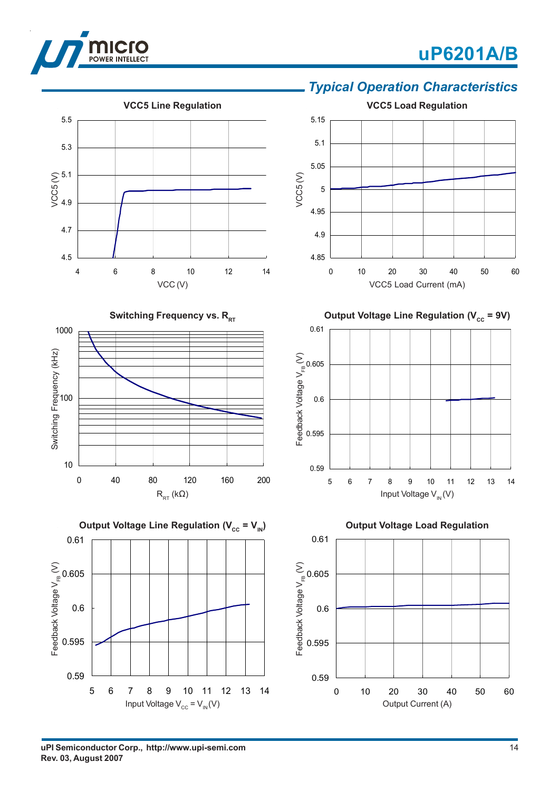



### *Typical Operation Characteristics*

**uPI Semiconductor Corp., http://www.upi-semi.com Rev. 03, August 2007**

Input Voltage  $V_{\text{cc}} = V_{\text{IN}}(V)$ 

Output Current (A)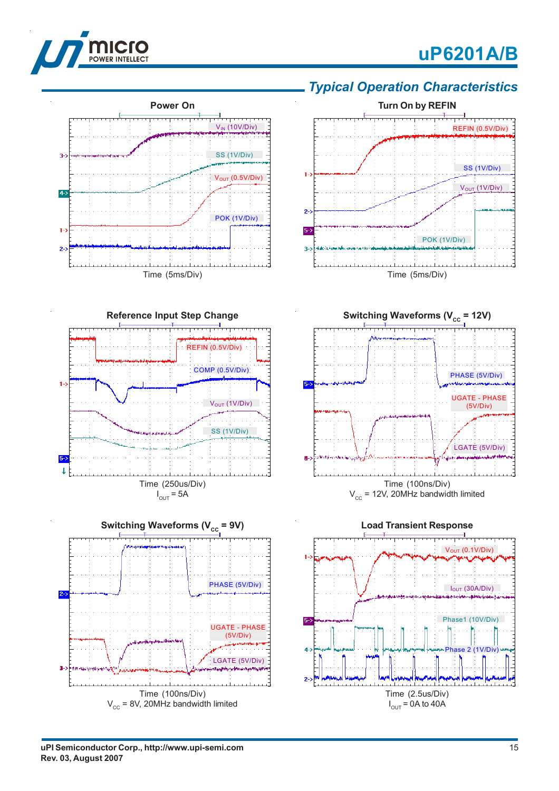



### *Typical Operation Characteristics*











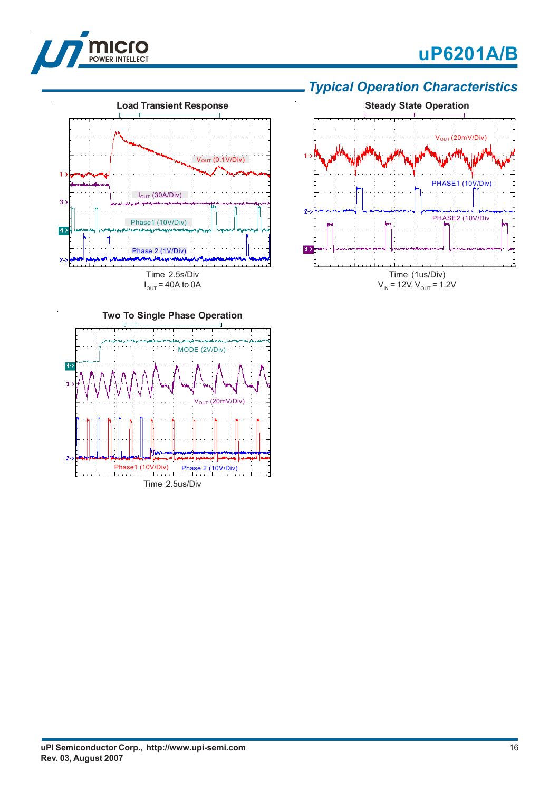







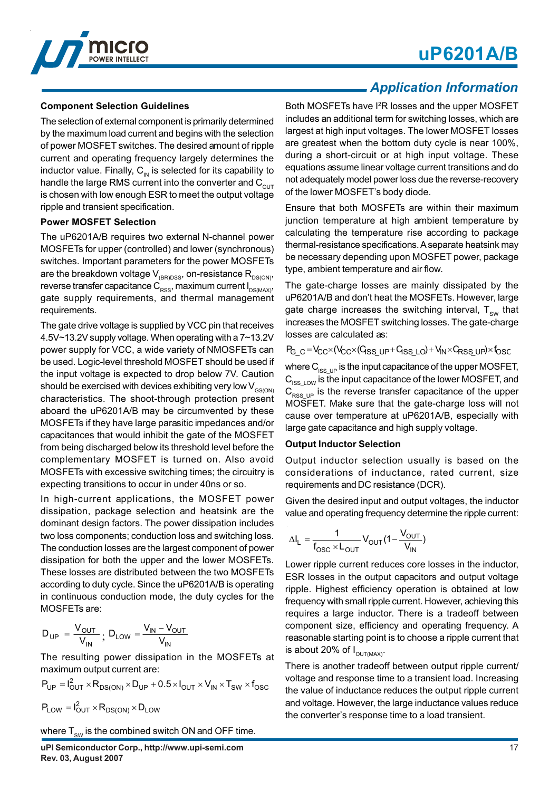

#### **Component Selection Guidelines**

The selection of external component is primarily determined by the maximum load current and begins with the selection of power MOSFET switches. The desired amount of ripple current and operating frequency largely determines the inductor value. Finally,  $C_{\text{N}}$  is selected for its capability to handle the large RMS current into the converter and  $C_{\text{OUT}}$ is chosen with low enough ESR to meet the output voltage ripple and transient specification.

#### **Power MOSFET Selection**

The uP6201A/B requires two external N-channel power MOSFETs for upper (controlled) and lower (synchronous) switches. Important parameters for the power MOSFETs are the breakdown voltage V $_{\tiny{\rm IBR)DSS}}$ , on-resistance R $_{\tiny{\rm DS(ON)}},$ reverse transfer capacitance  $\textsf{C}_\textsf{RSS},$  maximum current I $_\textsf{DS(MAX)},$ gate supply requirements, and thermal management requirements.

The gate drive voltage is supplied by VCC pin that receives 4.5V~13.2V supply voltage. When operating with a 7~13.2V power supply for VCC, a wide variety of NMOSFETs can be used. Logic-level threshold MOSFET should be used if the input voltage is expected to drop below 7V. Caution should be exercised with devices exhibiting very low  $V_{GSON}$ characteristics. The shoot-through protection present aboard the uP6201A/B may be circumvented by these MOSFETs if they have large parasitic impedances and/or capacitances that would inhibit the gate of the MOSFET from being discharged below its threshold level before the complementary MOSFET is turned on. Also avoid MOSFETs with excessive switching times; the circuitry is expecting transitions to occur in under 40ns or so.

In high-current applications, the MOSFET power dissipation, package selection and heatsink are the dominant design factors. The power dissipation includes two loss components; conduction loss and switching loss. The conduction losses are the largest component of power dissipation for both the upper and the lower MOSFETs. These losses are distributed between the two MOSFETs according to duty cycle. Since the uP6201A/B is operating in continuous conduction mode, the duty cycles for the MOSFETs are:

$$
D_{UP} = \frac{V_{OUT}}{V_{IN}}; \ D_{LOW} = \frac{V_{IN} - V_{OUT}}{V_{IN}}
$$

The resulting power dissipation in the MOSFETs at maximum output current are:

$$
P_{UP} = I_{OUT}^2 \times R_{DS(ON)} \times D_{UP} + 0.5 \times I_{OUT} \times V_{IN} \times T_{SW} \times f_{OSC}
$$

 $P_{LOW} = I_{OUT}^2 \times R_{DS(ON)} \times D_{LOW}$ 

where  $T_{\text{sw}}$  is the combined switch ON and OFF time.

### *Application Information*

Both MOSFETs have I2R losses and the upper MOSFET includes an additional term for switching losses, which are largest at high input voltages. The lower MOSFET losses are greatest when the bottom duty cycle is near 100%, during a short-circuit or at high input voltage. These equations assume linear voltage current transitions and do not adequately model power loss due the reverse-recovery of the lower MOSFET's body diode.

Ensure that both MOSFETs are within their maximum junction temperature at high ambient temperature by calculating the temperature rise according to package thermal-resistance specifications. A separate heatsink may be necessary depending upon MOSFET power, package type, ambient temperature and air flow.

The gate-charge losses are mainly dissipated by the uP6201A/B and don't heat the MOSFETs. However, large gate charge increases the switching interval,  $T_{\text{sw}}$  that increases the MOSFET switching losses. The gate-charge losses are calculated as:

PG\_c=Vcc×(Vcc×(Gss\_up+Gss\_Lo)+Vin×Grss\_up)×fosc

where  $C_{ISSUP}$  is the input capacitance of the upper MOSFET,  $C_{ISS~LOW}$  is the input capacitance of the lower MOSFET, and  $C_{RSSUP}$  is the reverse transfer capacitance of the upper MOSFET. Make sure that the gate-charge loss will not cause over temperature at uP6201A/B, especially with large gate capacitance and high supply voltage.

#### **Output Inductor Selection**

Output inductor selection usually is based on the considerations of inductance, rated current, size requirements and DC resistance (DCR).

Given the desired input and output voltages, the inductor value and operating frequency determine the ripple current:

$$
\Delta I_L = \frac{1}{f_{OSC} \times L_{OUT}} V_{OUT} (1 - \frac{V_{OUT}}{V_{IN}})
$$

Lower ripple current reduces core losses in the inductor, ESR losses in the output capacitors and output voltage ripple. Highest efficiency operation is obtained at low frequency with small ripple current. However, achieving this requires a large inductor. There is a tradeoff between component size, efficiency and operating frequency. A reasonable starting point is to choose a ripple current that is about 20% of  $I_{\text{OUT} (MAX)}$ .

There is another tradeoff between output ripple current/ voltage and response time to a transient load. Increasing the value of inductance reduces the output ripple current and voltage. However, the large inductance values reduce the converter's response time to a load transient.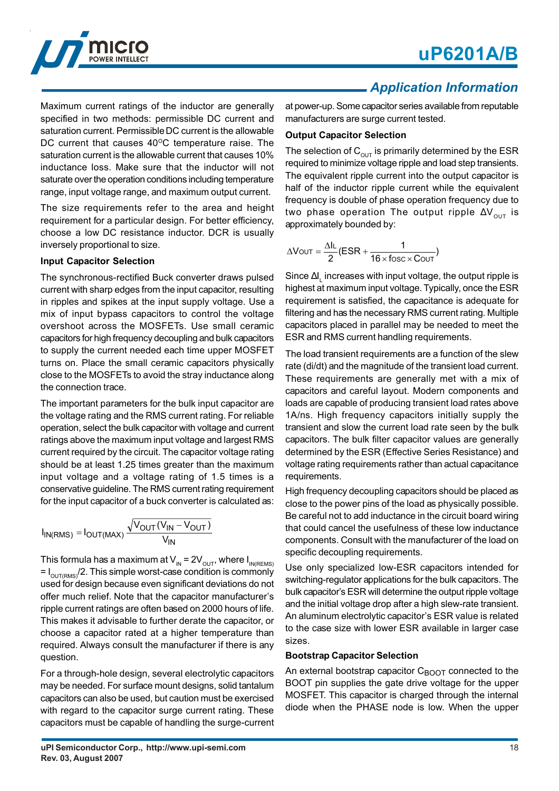

Maximum current ratings of the inductor are generally specified in two methods: permissible DC current and saturation current. Permissible DC current is the allowable DC current that causes  $40^{\circ}$ C temperature raise. The saturation current is the allowable current that causes 10% inductance loss. Make sure that the inductor will not saturate over the operation conditions including temperature range, input voltage range, and maximum output current.

The size requirements refer to the area and height requirement for a particular design. For better efficiency, choose a low DC resistance inductor. DCR is usually inversely proportional to size.

#### **Input Capacitor Selection**

The synchronous-rectified Buck converter draws pulsed current with sharp edges from the input capacitor, resulting in ripples and spikes at the input supply voltage. Use a mix of input bypass capacitors to control the voltage overshoot across the MOSFETs. Use small ceramic capacitors for high frequency decoupling and bulk capacitors to supply the current needed each time upper MOSFET turns on. Place the small ceramic capacitors physically close to the MOSFETs to avoid the stray inductance along the connection trace.

The important parameters for the bulk input capacitor are the voltage rating and the RMS current rating. For reliable operation, select the bulk capacitor with voltage and current ratings above the maximum input voltage and largest RMS current required by the circuit. The capacitor voltage rating should be at least 1.25 times greater than the maximum input voltage and a voltage rating of 1.5 times is a conservative guideline. The RMS current rating requirement for the input capacitor of a buck converter is calculated as:

$$
I_{IN(RMS)} = I_{OUT(MAX)} \frac{\sqrt{V_{OUT}(V_{IN} - V_{OUT})}}{V_{IN}}
$$

This formula has a maximum at  $\mathsf{V}_{_{\mathsf{IN}}}$  = 2 $\mathsf{V}_{_{\mathsf{OUT}}}$ , where I $_{_{\mathsf{IN}(\mathsf{REMS})}}$ = I $_{\rm OUT(RMS)}$ /2. This simple worst-case condition is commonly used for design because even significant deviations do not offer much relief. Note that the capacitor manufacturer's ripple current ratings are often based on 2000 hours of life. This makes it advisable to further derate the capacitor, or choose a capacitor rated at a higher temperature than required. Always consult the manufacturer if there is any question.

For a through-hole design, several electrolytic capacitors may be needed. For surface mount designs, solid tantalum capacitors can also be used, but caution must be exercised with regard to the capacitor surge current rating. These capacitors must be capable of handling the surge-current

### *Application Information*

at power-up. Some capacitor series available from reputable manufacturers are surge current tested.

#### **Output Capacitor Selection**

The selection of  $C_{\text{out}}$  is primarily determined by the ESR required to minimize voltage ripple and load step transients. The equivalent ripple current into the output capacitor is half of the inductor ripple current while the equivalent frequency is double of phase operation frequency due to two phase operation The output ripple  $\Delta V_{\text{out}}$  is approximately bounded by:

$$
\Delta V_{\text{OUT}} = \frac{\Delta I_{\text{L}}}{2} (ESR + \frac{1}{16 \times \text{fosc} \times \text{Cour}})
$$

Since  $\Delta\bm{\mathsf{I}}_{{}_{\mathsf{L}}}$  increases with input voltage, the output ripple is highest at maximum input voltage. Typically, once the ESR requirement is satisfied, the capacitance is adequate for filtering and has the necessary RMS current rating. Multiple capacitors placed in parallel may be needed to meet the ESR and RMS current handling requirements.

The load transient requirements are a function of the slew rate (di/dt) and the magnitude of the transient load current. These requirements are generally met with a mix of capacitors and careful layout. Modern components and loads are capable of producing transient load rates above 1A/ns. High frequency capacitors initially supply the transient and slow the current load rate seen by the bulk capacitors. The bulk filter capacitor values are generally determined by the ESR (Effective Series Resistance) and voltage rating requirements rather than actual capacitance requirements.

High frequency decoupling capacitors should be placed as close to the power pins of the load as physically possible. Be careful not to add inductance in the circuit board wiring that could cancel the usefulness of these low inductance components. Consult with the manufacturer of the load on specific decoupling requirements.

Use only specialized low-ESR capacitors intended for switching-regulator applications for the bulk capacitors. The bulk capacitor's ESR will determine the output ripple voltage and the initial voltage drop after a high slew-rate transient. An aluminum electrolytic capacitor's ESR value is related to the case size with lower ESR available in larger case sizes.

#### **Bootstrap Capacitor Selection**

An external bootstrap capacitor  $C_{\text{BOOT}}$  connected to the BOOT pin supplies the gate drive voltage for the upper MOSFET. This capacitor is charged through the internal diode when the PHASE node is low. When the upper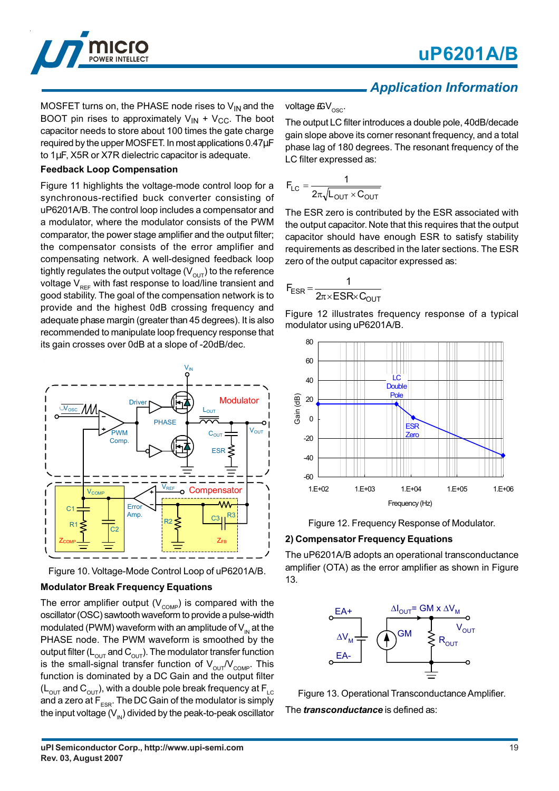



### *Application Information*

MOSFET turns on, the PHASE node rises to  $V_{IN}$  and the BOOT pin rises to approximately  $V_{IN} + V_{CC}$ . The boot capacitor needs to store about 100 times the gate charge required by the upper MOSFET. In most applications 0.47µF to 1µF, X5R or X7R dielectric capacitor is adequate.

### **Feedback Loop Compensation**

Figure 11 highlights the voltage-mode control loop for a synchronous-rectified buck converter consisting of uP6201A/B. The control loop includes a compensator and a modulator, where the modulator consists of the PWM comparator, the power stage amplifier and the output filter; the compensator consists of the error amplifier and compensating network. A well-designed feedback loop tightly regulates the output voltage  $(V_{\text{out}})$  to the reference voltage  $V_{\text{per}}$  with fast response to load/line transient and good stability. The goal of the compensation network is to provide and the highest 0dB crossing frequency and adequate phase margin (greater than 45 degrees). It is also recommended to manipulate loop frequency response that its gain crosses over 0dB at a slope of -20dB/dec.





#### **Modulator Break Frequency Equations**

The error amplifier output  $(V_{\text{COMP}})$  is compared with the oscillator (OSC) sawtooth waveform to provide a pulse-width modulated (PWM) waveform with an amplitude of  $V_{\text{IN}}$  at the PHASE node. The PWM waveform is smoothed by the output filter ( $L_{\text{OUT}}$  and  $C_{\text{OUT}}$ ). The modulator transfer function is the small-signal transfer function of  $V_{\text{out}}/V_{\text{COMP}}$ . This function is dominated by a DC Gain and the output filter  $(L<sub>OUT</sub>$  and  $C<sub>OUT</sub>$ ), with a double pole break frequency at  $F<sub>LC</sub>$ and a zero at  $F_{ESR}$ . The DC Gain of the modulator is simply the input voltage  $(V_{\text{IN}})$  divided by the peak-to-peak oscillator

voltage  $\mathbb{E}V_{\text{osc}}$ .

The output LC filter introduces a double pole, 40dB/decade gain slope above its corner resonant frequency, and a total phase lag of 180 degrees. The resonant frequency of the LC filter expressed as:

$$
F_{LC} = \frac{1}{2\pi\sqrt{L_{OUT} \times C_{OUT}}}
$$

The ESR zero is contributed by the ESR associated with the output capacitor. Note that this requires that the output capacitor should have enough ESR to satisfy stability requirements as described in the later sections. The ESR zero of the output capacitor expressed as:

$$
F_{ESR} = \frac{1}{2\pi \times ESR \times C_{OUT}}
$$

Figure 12 illustrates frequency response of a typical modulator using uP6201A/B.





#### **2) Compensator Frequency Equations**

The uP6201A/B adopts an operational transconductance amplifier (OTA) as the error amplifier as shown in Figure 13.



Figure 13. Operational Transconductance Amplifier. The *transconductance* is defined as: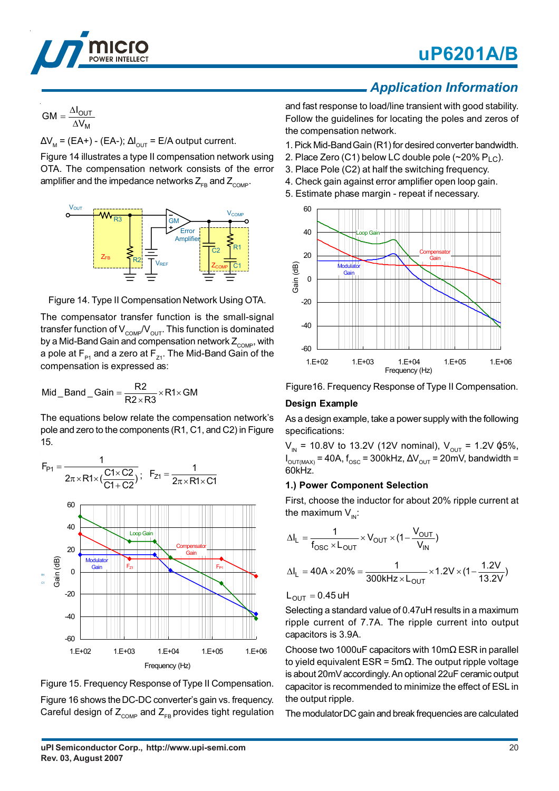

# **uP6201A/B**

#### M OUT  $GM = \frac{\Delta I_{\text{OL}}}{\Delta V}$

 $\Delta\mathsf{V}_{_{\mathsf{M}}}$  = (EA+) - (EA-);  $\Delta\mathsf{I}_{_{\mathsf{OUT}}}$  = E/A output current.

Figure 14 illustrates a type II compensation network using OTA. The compensation network consists of the error amplifier and the impedance networks  $Z_{\text{co}}$  and  $Z_{\text{co}}$ .



Figure 14. Type II Compensation Network Using OTA.

The compensator transfer function is the small-signal transfer function of  $V_{\text{COMP}}/V_{\text{OUT}}$ . This function is dominated by a Mid-Band Gain and compensation network  $Z_{\text{COMP}}$ , with a pole at  $F_{p_1}$  and a zero at  $F_{p_1}$ . The Mid-Band Gain of the compensation is expressed as:

$$
\text{Mid\_Band\_Gain} = \frac{R2}{R2 \times R3} \times R1 \times GM
$$

The equations below relate the compensation network's pole and zero to the components (R1, C1, and C2) in Figure 15.





Figure 16 shows the DC-DC converter's gain vs. frequency. Careful design of  $Z_{\text{COMP}}$  and  $Z_{\text{FB}}$  provides tight regulation

### *Application Information*

and fast response to load/line transient with good stability. Follow the guidelines for locating the poles and zeros of the compensation network.

1. Pick Mid-Band Gain (R1) for desired converter bandwidth.

- 2. Place Zero (C1) below LC double pole (~20% P<sub>LC</sub>).
- 3. Place Pole (C2) at half the switching frequency.
- 4. Check gain against error amplifier open loop gain.
- 5. Estimate phase margin repeat if necessary.



Figure16. Frequency Response of Type II Compensation.

### **Design Example**

As a design example, take a power supply with the following specifications:

 $\rm V_{_{IN}}$  = 10.8V to 13.2V (12V nominal),  $\rm V_{_{OUT}}$  = 1.2V  $\rm \acute{q}5\%$ ,  $\sf{I}_{\mathsf{OUT}(\mathsf{MAX})}$ = 40A,  $\sf{f}_{\mathsf{osc}}$  = 300kHz,  $\Delta\sf{V}_{\mathsf{OUT}}$  = 20mV, bandwidth = 60kHz.

### **1.) Power Component Selection**

First, choose the inductor for about 20% ripple current at the maximum  $V_{\text{in}}$ :

$$
\Delta I_{L} = \frac{1}{f_{OSC} \times L_{OUT}} \times V_{OUT} \times (1 - \frac{V_{OUT}}{V_{IN}})
$$

$$
\Delta I_{L} = 40A \times 20\% = \frac{1}{300kHz \times L_{OUT}} \times 1.2V \times (1 - \frac{1.2V}{13.2V})
$$

 $L_{\text{OUT}} = 0.45$  uH

Selecting a standard value of 0.47uH results in a maximum ripple current of 7.7A. The ripple current into output capacitors is 3.9A.

Choose two 1000uF capacitors with 10m $\Omega$  ESR in parallel to yield equivalent ESR =  $5m\Omega$ . The output ripple voltage is about 20mV accordingly. An optional 22uF ceramic output capacitor is recommended to minimize the effect of ESL in the output ripple.

The modulator DC gain and break frequencies are calculated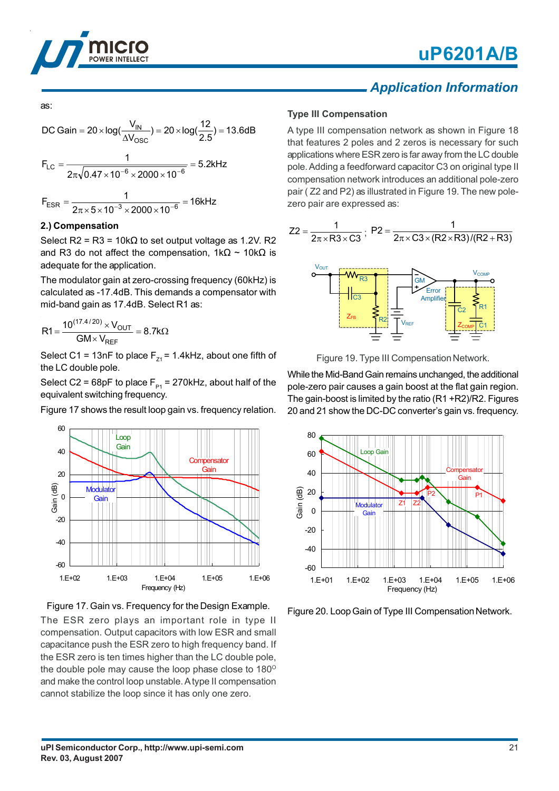



### *Application Information*

as:  
\nDC Gain = 
$$
20 \times \log(\frac{V_{IN}}{\Delta V_{OSC}}) = 20 \times \log(\frac{12}{2.5}) = 13.6 dB
$$
  
\n
$$
F_{LC} = \frac{1}{2\pi\sqrt{0.47 \times 10^{-6} \times 2000 \times 10^{-6}}} = 5.2kHz
$$
\n
$$
F_{ESR} = \frac{1}{2\pi \times 5 \times 10^{-3} \times 2000 \times 10^{-6}} = 16kHz
$$

#### **2.) Compensation**

Select R2 = R3 = 10k $\Omega$  to set output voltage as 1.2V. R2 and R3 do not affect the compensation,  $1kΩ ~$  10kΩ is adequate for the application.

The modulator gain at zero-crossing frequency (60kHz) is calculated as -17.4dB. This demands a compensator with mid-band gain as 17.4dB. Select R1 as:

$$
R1 = \frac{10^{(17.4/20)} \times V_{OUT}}{GM \times V_{REF}} = 8.7 k\Omega
$$

Select C1 = 13nF to place  $F_{71}$  = 1.4kHz, about one fifth of the LC double pole.

Select C2 = 68pF to place  $F_{p_1}$  = 270kHz, about half of the equivalent switching frequency.

Figure 17 shows the result loop gain vs. frequency relation.





The ESR zero plays an important role in type II compensation. Output capacitors with low ESR and small capacitance push the ESR zero to high frequency band. If the ESR zero is ten times higher than the LC double pole, the double pole may cause the loop phase close to  $180^\circ$ and make the control loop unstable. A type II compensation cannot stabilize the loop since it has only one zero.

#### **Type III Compensation**

A type III compensation network as shown in Figure 18 that features 2 poles and 2 zeros is necessary for such applications where ESR zero is far away from the LC double pole. Adding a feedforward capacitor C3 on original type II compensation network introduces an additional pole-zero pair ( Z2 and P2) as illustrated in Figure 19. The new polezero pair are expressed as:





While the Mid-Band Gain remains unchanged, the additional pole-zero pair causes a gain boost at the flat gain region. The gain-boost is limited by the ratio (R1 +R2)/R2. Figures 20 and 21 show the DC-DC converter's gain vs. frequency.



Figure 20. Loop Gain of Type III Compensation Network.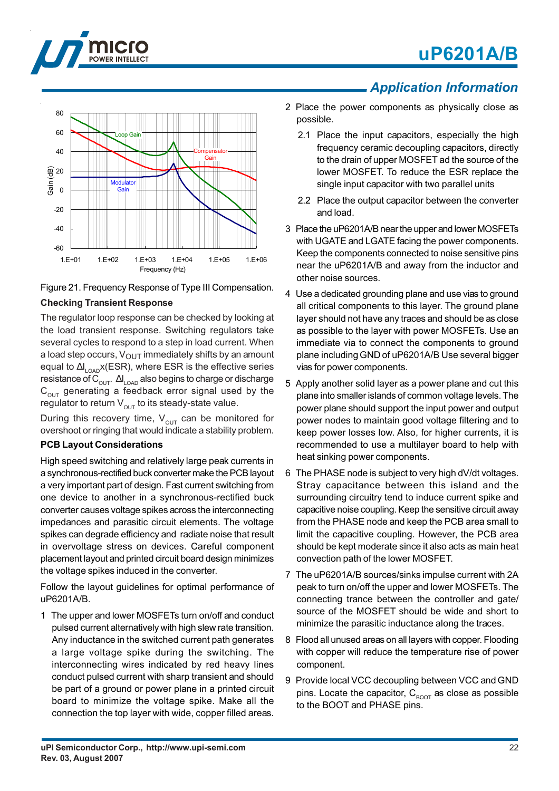







#### **Checking Transient Response**

The regulator loop response can be checked by looking at the load transient response. Switching regulators take several cycles to respond to a step in load current. When a load step occurs,  $V_{\text{OUT}}$  immediately shifts by an amount equal to  $\Delta\bm{\mathsf{I}}_\mathsf{LOAD}$ x(ESR), where ESR is the effective series resistance of  $\text{C}_{\text{OUT}}$ .  $\left.\Delta\right|_{\text{LOAD}}$  also begins to charge or discharge  $C_{\text{out}}$  generating a feedback error signal used by the regulator to return  $V_{\text{OUT}}$  to its steady-state value.

During this recovery time,  $V_{\text{OUT}}$  can be monitored for overshoot or ringing that would indicate a stability problem.

### **PCB Layout Considerations**

High speed switching and relatively large peak currents in a synchronous-rectified buck converter make the PCB layout a very important part of design. Fast current switching from one device to another in a synchronous-rectified buck converter causes voltage spikes across the interconnecting impedances and parasitic circuit elements. The voltage spikes can degrade efficiency and radiate noise that result in overvoltage stress on devices. Careful component placement layout and printed circuit board design minimizes the voltage spikes induced in the converter.

Follow the layout guidelines for optimal performance of uP6201A/B.

1 The upper and lower MOSFETs turn on/off and conduct pulsed current alternatively with high slew rate transition. Any inductance in the switched current path generates a large voltage spike during the switching. The interconnecting wires indicated by red heavy lines conduct pulsed current with sharp transient and should be part of a ground or power plane in a printed circuit board to minimize the voltage spike. Make all the connection the top layer with wide, copper filled areas.

### *Application Information*

- 2 Place the power components as physically close as possible.
	- 2.1 Place the input capacitors, especially the high frequency ceramic decoupling capacitors, directly to the drain of upper MOSFET ad the source of the lower MOSFET. To reduce the ESR replace the single input capacitor with two parallel units
	- 2.2 Place the output capacitor between the converter and load.
- 3 Place the uP6201A/B near the upper and lower MOSFETs with UGATE and LGATE facing the power components. Keep the components connected to noise sensitive pins near the uP6201A/B and away from the inductor and other noise sources.
- 4 Use a dedicated grounding plane and use vias to ground all critical components to this layer. The ground plane layer should not have any traces and should be as close as possible to the layer with power MOSFETs. Use an immediate via to connect the components to ground plane including GND of uP6201A/B Use several bigger vias for power components.
- 5 Apply another solid layer as a power plane and cut this plane into smaller islands of common voltage levels. The power plane should support the input power and output power nodes to maintain good voltage filtering and to keep power losses low. Also, for higher currents, it is recommended to use a multilayer board to help with heat sinking power components.
- 6 The PHASE node is subject to very high dV/dt voltages. Stray capacitance between this island and the surrounding circuitry tend to induce current spike and capacitive noise coupling. Keep the sensitive circuit away from the PHASE node and keep the PCB area small to limit the capacitive coupling. However, the PCB area should be kept moderate since it also acts as main heat convection path of the lower MOSFET.
- 7 The uP6201A/B sources/sinks impulse current with 2A peak to turn on/off the upper and lower MOSFETs. The connecting trance between the controller and gate/ source of the MOSFET should be wide and short to minimize the parasitic inductance along the traces.
- 8 Flood all unused areas on all layers with copper. Flooding with copper will reduce the temperature rise of power component.
- 9 Provide local VCC decoupling between VCC and GND pins. Locate the capacitor,  $C_{\text{BOOT}}$  as close as possible to the BOOT and PHASE pins.